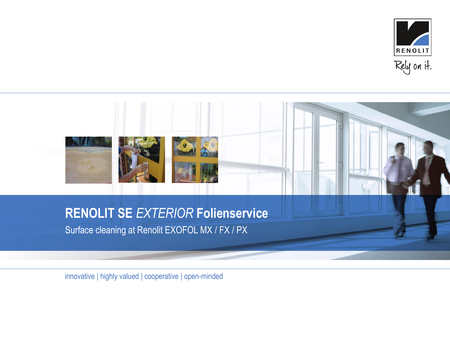

# **RENOLIT SE** *EXTERIOR* **Folienservice**

**Bild 3 26 x 26 mm** 

Surface cleaning at Renolit EXOFOL MX / FX / PX

innovative | highly valued | cooperative | open-minded

 $\mathbb{R}^{d-1}$ 26 x 26 mm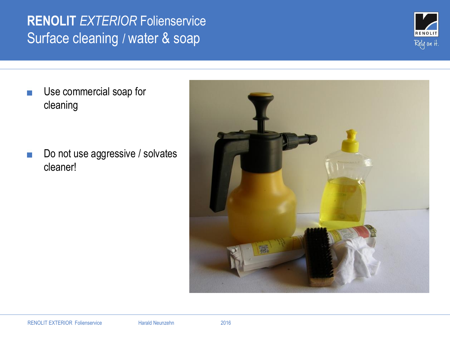# **RENOLIT** *EXTERIOR* Folienservice Surface cleaning / water & soap



Use commercial soap for cleaning

Do not use aggressive / solvates cleaner!

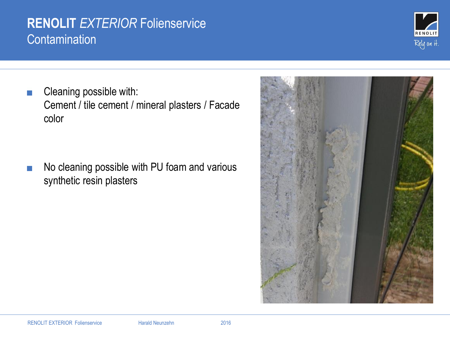#### **RENOLIT** *EXTERIOR* Folienservice **Contamination**

Cleaning possible with: Cement / tile cement / mineral plasters / Facade color

No cleaning possible with PU foam and various synthetic resin plasters



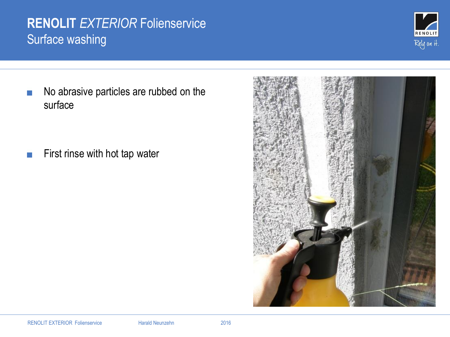# **RENOLIT** *EXTERIOR* Folienservice Surface washing



No abrasive particles are rubbed on the surface

First rinse with hot tap water

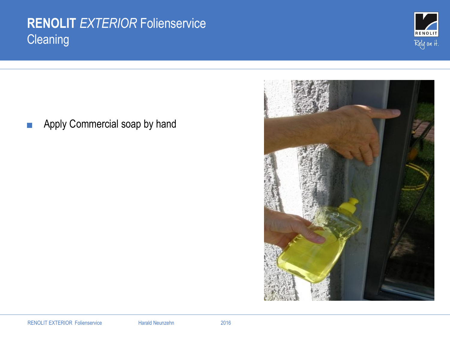# **RENOLIT** *EXTERIOR* Folienservice **Cleaning**





Apply Commercial soap by hand $\mathcal{C}^{\mathcal{A}}$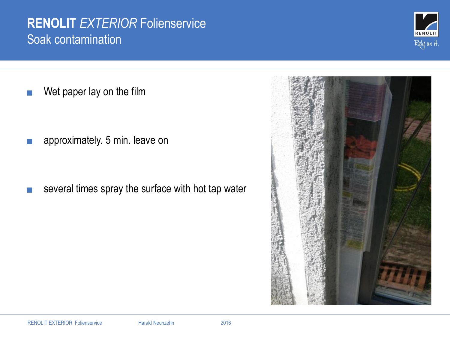#### **RENOLIT** *EXTERIOR* Folienservice Soak contamination

Wet paper lay on the film

approximately. 5 min. leave on

several times spray the surface with hot tap water



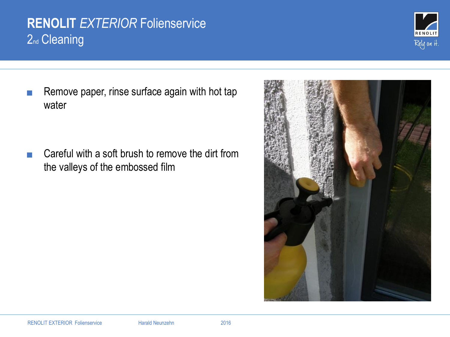# **RENOLIT** *EXTERIOR* Folienservice 2<sub>nd</sub> Cleaning

Remove paper, rinse surface again with hot tap water

Careful with a soft brush to remove the dirt from the valleys of the embossed film